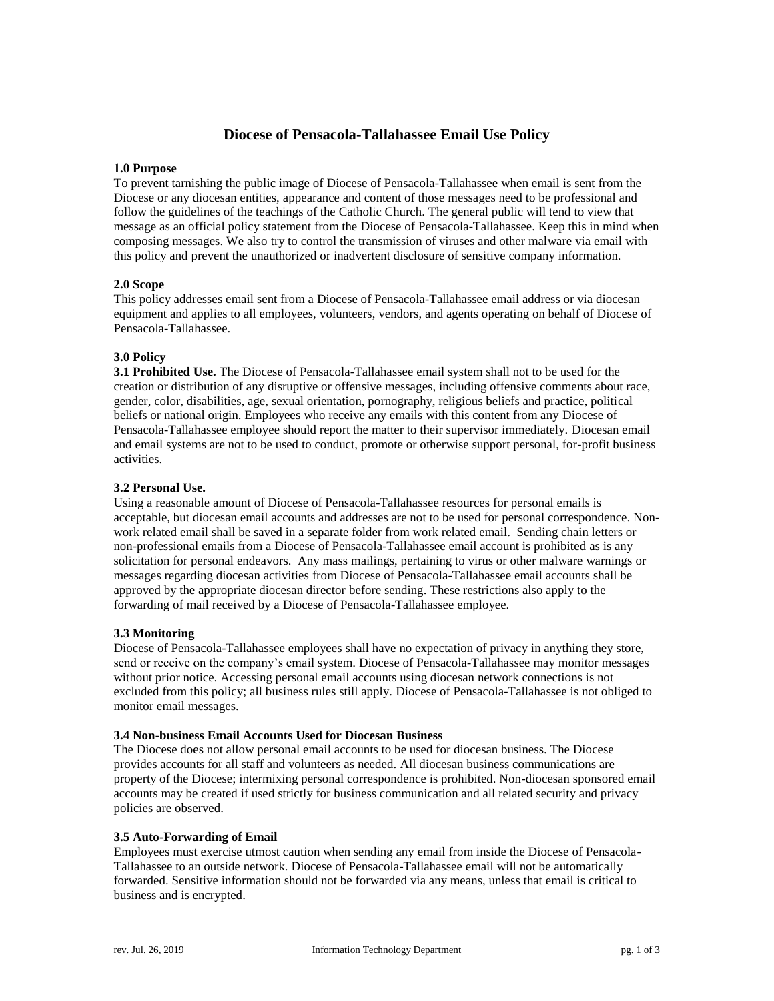# **Diocese of Pensacola-Tallahassee Email Use Policy**

### **1.0 Purpose**

To prevent tarnishing the public image of Diocese of Pensacola-Tallahassee when email is sent from the Diocese or any diocesan entities, appearance and content of those messages need to be professional and follow the guidelines of the teachings of the Catholic Church. The general public will tend to view that message as an official policy statement from the Diocese of Pensacola-Tallahassee. Keep this in mind when composing messages. We also try to control the transmission of viruses and other malware via email with this policy and prevent the unauthorized or inadvertent disclosure of sensitive company information.

## **2.0 Scope**

This policy addresses email sent from a Diocese of Pensacola-Tallahassee email address or via diocesan equipment and applies to all employees, volunteers, vendors, and agents operating on behalf of Diocese of Pensacola-Tallahassee.

## **3.0 Policy**

**3.1 Prohibited Use.** The Diocese of Pensacola-Tallahassee email system shall not to be used for the creation or distribution of any disruptive or offensive messages, including offensive comments about race, gender, color, disabilities, age, sexual orientation, pornography, religious beliefs and practice, political beliefs or national origin. Employees who receive any emails with this content from any Diocese of Pensacola-Tallahassee employee should report the matter to their supervisor immediately. Diocesan email and email systems are not to be used to conduct, promote or otherwise support personal, for-profit business activities.

## **3.2 Personal Use.**

Using a reasonable amount of Diocese of Pensacola-Tallahassee resources for personal emails is acceptable, but diocesan email accounts and addresses are not to be used for personal correspondence. Nonwork related email shall be saved in a separate folder from work related email. Sending chain letters or non-professional emails from a Diocese of Pensacola-Tallahassee email account is prohibited as is any solicitation for personal endeavors. Any mass mailings, pertaining to virus or other malware warnings or messages regarding diocesan activities from Diocese of Pensacola-Tallahassee email accounts shall be approved by the appropriate diocesan director before sending. These restrictions also apply to the forwarding of mail received by a Diocese of Pensacola-Tallahassee employee.

### **3.3 Monitoring**

Diocese of Pensacola-Tallahassee employees shall have no expectation of privacy in anything they store, send or receive on the company's email system. Diocese of Pensacola-Tallahassee may monitor messages without prior notice. Accessing personal email accounts using diocesan network connections is not excluded from this policy; all business rules still apply. Diocese of Pensacola-Tallahassee is not obliged to monitor email messages.

### **3.4 Non-business Email Accounts Used for Diocesan Business**

The Diocese does not allow personal email accounts to be used for diocesan business. The Diocese provides accounts for all staff and volunteers as needed. All diocesan business communications are property of the Diocese; intermixing personal correspondence is prohibited. Non-diocesan sponsored email accounts may be created if used strictly for business communication and all related security and privacy policies are observed.

### **3.5 Auto-Forwarding of Email**

Employees must exercise utmost caution when sending any email from inside the Diocese of Pensacola-Tallahassee to an outside network. Diocese of Pensacola-Tallahassee email will not be automatically forwarded. Sensitive information should not be forwarded via any means, unless that email is critical to business and is encrypted.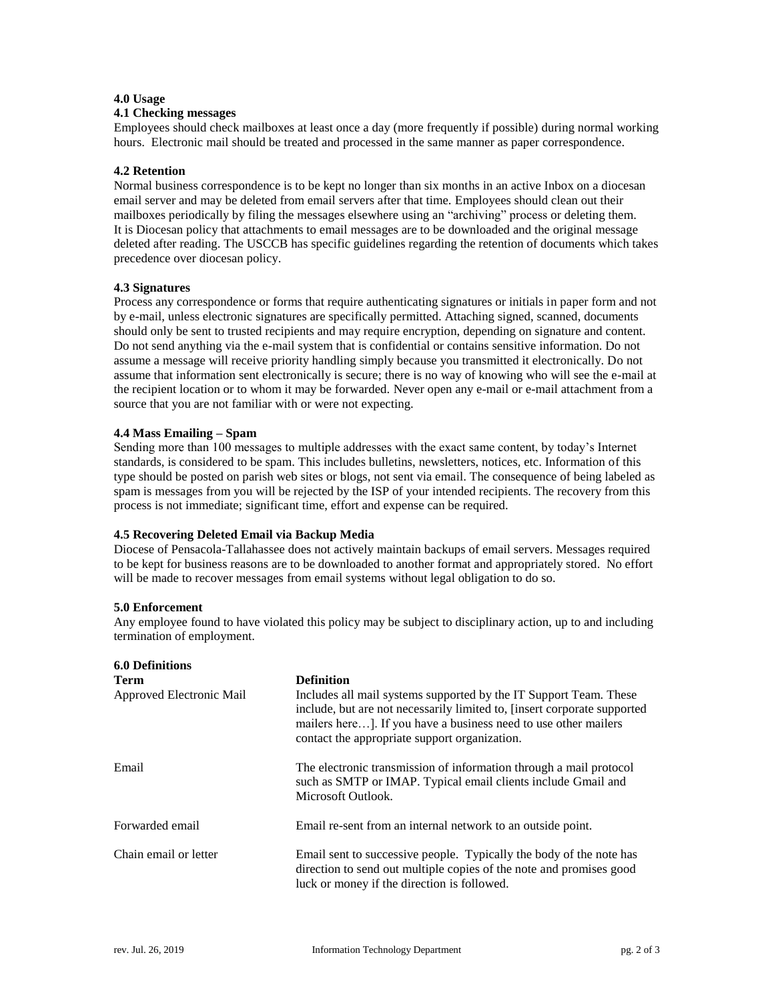### **4.0 Usage**

#### **4.1 Checking messages**

Employees should check mailboxes at least once a day (more frequently if possible) during normal working hours. Electronic mail should be treated and processed in the same manner as paper correspondence.

### **4.2 Retention**

Normal business correspondence is to be kept no longer than six months in an active Inbox on a diocesan email server and may be deleted from email servers after that time. Employees should clean out their mailboxes periodically by filing the messages elsewhere using an "archiving" process or deleting them. It is Diocesan policy that attachments to email messages are to be downloaded and the original message deleted after reading. The USCCB has specific guidelines regarding the retention of documents which takes precedence over diocesan policy.

## **4.3 Signatures**

Process any correspondence or forms that require authenticating signatures or initials in paper form and not by e-mail, unless electronic signatures are specifically permitted. Attaching signed, scanned, documents should only be sent to trusted recipients and may require encryption, depending on signature and content. Do not send anything via the e-mail system that is confidential or contains sensitive information. Do not assume a message will receive priority handling simply because you transmitted it electronically. Do not assume that information sent electronically is secure; there is no way of knowing who will see the e-mail at the recipient location or to whom it may be forwarded. Never open any e-mail or e-mail attachment from a source that you are not familiar with or were not expecting.

### **4.4 Mass Emailing – Spam**

Sending more than 100 messages to multiple addresses with the exact same content, by today's Internet standards, is considered to be spam. This includes bulletins, newsletters, notices, etc. Information of this type should be posted on parish web sites or blogs, not sent via email. The consequence of being labeled as spam is messages from you will be rejected by the ISP of your intended recipients. The recovery from this process is not immediate; significant time, effort and expense can be required.

## **4.5 Recovering Deleted Email via Backup Media**

Diocese of Pensacola-Tallahassee does not actively maintain backups of email servers. Messages required to be kept for business reasons are to be downloaded to another format and appropriately stored. No effort will be made to recover messages from email systems without legal obligation to do so.

### **5.0 Enforcement**

Any employee found to have violated this policy may be subject to disciplinary action, up to and including termination of employment.

| <b>6.0 Definitions</b>   |                                                                                                                                                                                                                                                                   |
|--------------------------|-------------------------------------------------------------------------------------------------------------------------------------------------------------------------------------------------------------------------------------------------------------------|
| Term                     | <b>Definition</b>                                                                                                                                                                                                                                                 |
| Approved Electronic Mail | Includes all mail systems supported by the IT Support Team. These<br>include, but are not necessarily limited to, [insert corporate supported<br>mailers here]. If you have a business need to use other mailers<br>contact the appropriate support organization. |
| Email                    | The electronic transmission of information through a mail protocol<br>such as SMTP or IMAP. Typical email clients include Gmail and<br>Microsoft Outlook.                                                                                                         |
| Forwarded email          | Email re-sent from an internal network to an outside point.                                                                                                                                                                                                       |
| Chain email or letter    | Email sent to successive people. Typically the body of the note has<br>direction to send out multiple copies of the note and promises good<br>luck or money if the direction is followed.                                                                         |